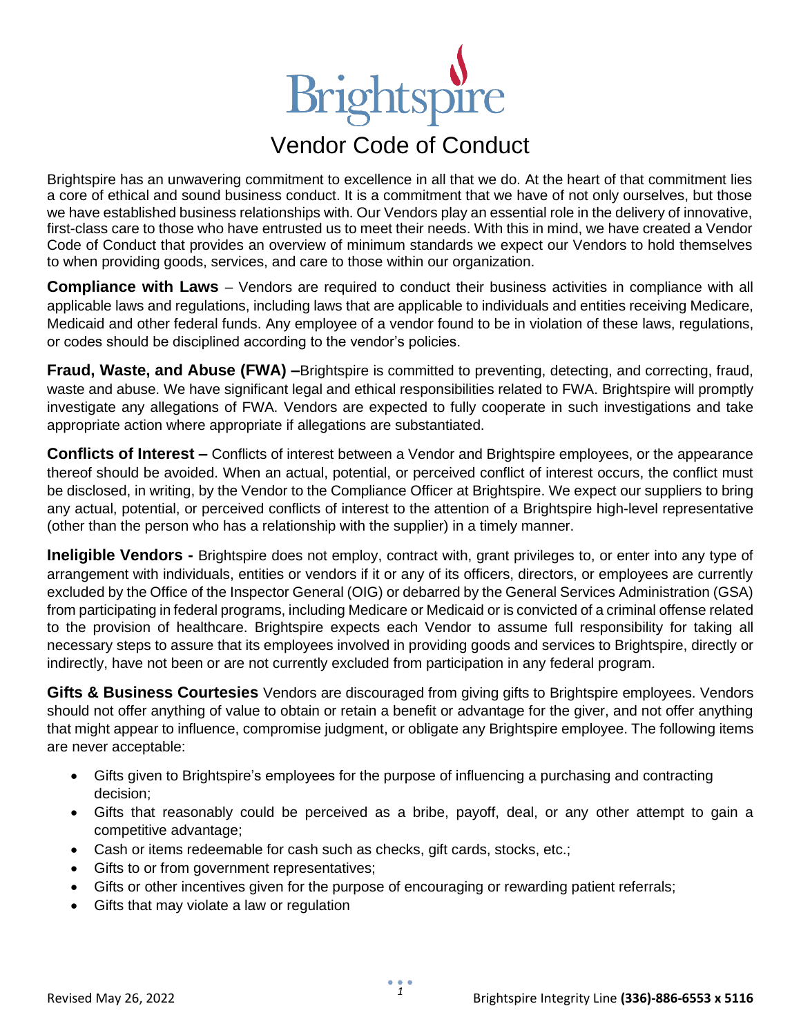## Brightspire

## Vendor Code of Conduct

Brightspire has an unwavering commitment to excellence in all that we do. At the heart of that commitment lies a core of ethical and sound business conduct. It is a commitment that we have of not only ourselves, but those we have established business relationships with. Our Vendors play an essential role in the delivery of innovative, first-class care to those who have entrusted us to meet their needs. With this in mind, we have created a Vendor Code of Conduct that provides an overview of minimum standards we expect our Vendors to hold themselves to when providing goods, services, and care to those within our organization.

**Compliance with Laws** – Vendors are required to conduct their business activities in compliance with all applicable laws and regulations, including laws that are applicable to individuals and entities receiving Medicare, Medicaid and other federal funds. Any employee of a vendor found to be in violation of these laws, regulations, or codes should be disciplined according to the vendor's policies.

**Fraud, Waste, and Abuse (FWA) –**Brightspire is committed to preventing, detecting, and correcting, fraud, waste and abuse. We have significant legal and ethical responsibilities related to FWA. Brightspire will promptly investigate any allegations of FWA. Vendors are expected to fully cooperate in such investigations and take appropriate action where appropriate if allegations are substantiated.

**Conflicts of Interest –** Conflicts of interest between a Vendor and Brightspire employees, or the appearance thereof should be avoided. When an actual, potential, or perceived conflict of interest occurs, the conflict must be disclosed, in writing, by the Vendor to the Compliance Officer at Brightspire. We expect our suppliers to bring any actual, potential, or perceived conflicts of interest to the attention of a Brightspire high-level representative (other than the person who has a relationship with the supplier) in a timely manner.

**Ineligible Vendors -** Brightspire does not employ, contract with, grant privileges to, or enter into any type of arrangement with individuals, entities or vendors if it or any of its officers, directors, or employees are currently excluded by the Office of the Inspector General (OIG) or debarred by the General Services Administration (GSA) from participating in federal programs, including Medicare or Medicaid or is convicted of a criminal offense related to the provision of healthcare. Brightspire expects each Vendor to assume full responsibility for taking all necessary steps to assure that its employees involved in providing goods and services to Brightspire, directly or indirectly, have not been or are not currently excluded from participation in any federal program.

**Gifts & Business Courtesies** Vendors are discouraged from giving gifts to Brightspire employees. Vendors should not offer anything of value to obtain or retain a benefit or advantage for the giver, and not offer anything that might appear to influence, compromise judgment, or obligate any Brightspire employee. The following items are never acceptable:

- Gifts given to Brightspire's employees for the purpose of influencing a purchasing and contracting decision;
- Gifts that reasonably could be perceived as a bribe, payoff, deal, or any other attempt to gain a competitive advantage;
- Cash or items redeemable for cash such as checks, gift cards, stocks, etc.;
- Gifts to or from government representatives;
- Gifts or other incentives given for the purpose of encouraging or rewarding patient referrals;
- Gifts that may violate a law or regulation